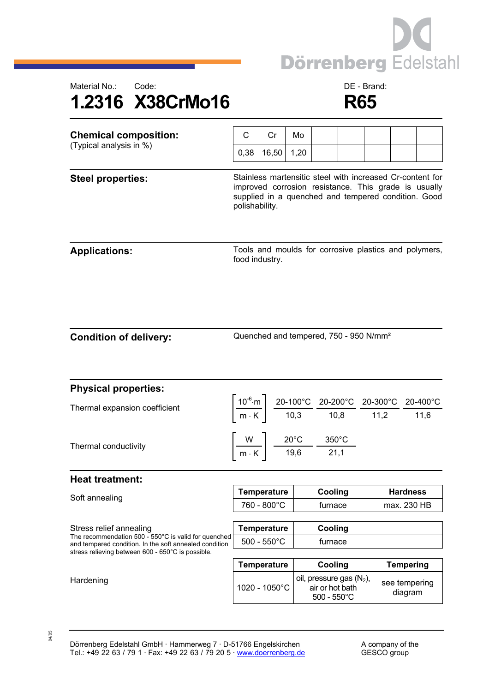



| <b>Chemical composition:</b><br>(Typical analysis in %)                                                                                   | C                                                                                                                                                                                          | Cr                                                    | Mo   |                                                                                                                                                                                                                                                     |  |  |                          |  |
|-------------------------------------------------------------------------------------------------------------------------------------------|--------------------------------------------------------------------------------------------------------------------------------------------------------------------------------------------|-------------------------------------------------------|------|-----------------------------------------------------------------------------------------------------------------------------------------------------------------------------------------------------------------------------------------------------|--|--|--------------------------|--|
|                                                                                                                                           | 0,38                                                                                                                                                                                       | 16,50                                                 | 1,20 |                                                                                                                                                                                                                                                     |  |  |                          |  |
| <b>Steel properties:</b>                                                                                                                  | Stainless martensitic steel with increased Cr-content for<br>improved corrosion resistance. This grade is usually<br>supplied in a quenched and tempered condition. Good<br>polishability. |                                                       |      |                                                                                                                                                                                                                                                     |  |  |                          |  |
| <b>Applications:</b>                                                                                                                      | food industry.                                                                                                                                                                             | Tools and moulds for corrosive plastics and polymers, |      |                                                                                                                                                                                                                                                     |  |  |                          |  |
| <b>Condition of delivery:</b>                                                                                                             | Quenched and tempered, 750 - 950 N/mm <sup>2</sup>                                                                                                                                         |                                                       |      |                                                                                                                                                                                                                                                     |  |  |                          |  |
| <b>Physical properties:</b>                                                                                                               |                                                                                                                                                                                            |                                                       |      |                                                                                                                                                                                                                                                     |  |  |                          |  |
| Thermal expansion coefficient                                                                                                             |                                                                                                                                                                                            |                                                       |      | $\left \frac{10^{-6} \text{ m}}{\text{m} \cdot \text{K}}\right  \left \frac{20-100^{\circ} \text{C}}{10,3} \cdot \frac{20-200^{\circ} \text{C}}{10,8} \cdot \frac{20-300^{\circ} \text{C}}{11,2} \cdot \frac{20-400^{\circ} \text{C}}{11,6}\right $ |  |  |                          |  |
| Thermal conductivity                                                                                                                      | $\left[\frac{W}{m\cdot K}\right]$ $\frac{20^{\circ}C}{19,6}$ $\frac{350^{\circ}C}{21,1}$                                                                                                   |                                                       |      |                                                                                                                                                                                                                                                     |  |  |                          |  |
| <b>Heat treatment:</b>                                                                                                                    |                                                                                                                                                                                            |                                                       |      |                                                                                                                                                                                                                                                     |  |  |                          |  |
| Soft annealing                                                                                                                            | Temperature<br>760 - 800°C                                                                                                                                                                 |                                                       |      | Cooling<br>furnace                                                                                                                                                                                                                                  |  |  | Hardness<br>max. 230 HB  |  |
| Stress relief annealing<br>The recommendation 500 - 550°C is valid for quenched<br>and tempered condition. In the soft annealed condition | <b>Temperature</b><br>$500 - 550^{\circ}$ C                                                                                                                                                |                                                       |      | Cooling<br>furnace                                                                                                                                                                                                                                  |  |  |                          |  |
| stress relieving between 600 - 650°C is possible.                                                                                         |                                                                                                                                                                                            | <b>Temperature</b>                                    |      | Cooling                                                                                                                                                                                                                                             |  |  | <b>Tempering</b>         |  |
| Hardening                                                                                                                                 | 1020 - 1050°C                                                                                                                                                                              |                                                       |      | oil, pressure gas $(N_2)$ ,<br>air or hot bath<br>$500 - 550^{\circ}$ C                                                                                                                                                                             |  |  | see tempering<br>diagram |  |